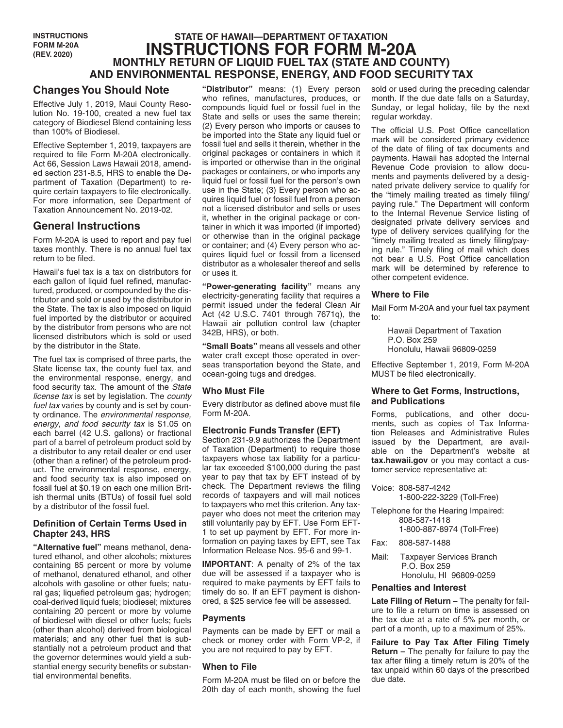**INSTRUCTIONS FORM M-20A (REV. 2020)**

# **STATE OF HAWAII—DEPARTMENT OF TAXATION INSTRUCTIONS FOR FORM M-20A MONTHLY RETURN OF LIQUID FUEL TAX (STATE AND COUNTY) AND ENVIRONMENTAL RESPONSE, ENERGY, AND FOOD SECURITY TAX**

## **Changes You Should Note**

Effective July 1, 2019, Maui County Resolution No. 19-100, created a new fuel tax category of Biodiesel Blend containing less than 100% of Biodiesel.

Effective September 1, 2019, taxpayers are required to file Form M-20A electronically. Act 66, Session Laws Hawaii 2018, amended section 231-8.5, HRS to enable the Department of Taxation (Department) to require certain taxpayers to file electronically. For more information, see Department of Taxation Announcement No. 2019-02.

## **General Instructions**

Form M-20A is used to report and pay fuel taxes monthly. There is no annual fuel tax return to be filed.

Hawaii's fuel tax is a tax on distributors for each gallon of liquid fuel refined, manufactured, produced, or compounded by the distributor and sold or used by the distributor in the State. The tax is also imposed on liquid fuel imported by the distributor or acquired by the distributor from persons who are not licensed distributors which is sold or used by the distributor in the State.

The fuel tax is comprised of three parts, the State license tax, the county fuel tax, and the environmental response, energy, and food security tax. The amount of the *State license tax* is set by legislation. The *county fuel tax* varies by county and is set by county ordinance. The *environmental response, energy, and food security tax* is \$1.05 on each barrel (42 U.S. gallons) or fractional part of a barrel of petroleum product sold by a distributor to any retail dealer or end user (other than a refiner) of the petroleum product. The environmental response, energy, and food security tax is also imposed on fossil fuel at \$0.19 on each one million British thermal units (BTUs) of fossil fuel sold by a distributor of the fossil fuel.

#### **Definition of Certain Terms Used in Chapter 243, HRS**

**"Alternative fuel"** means methanol, denatured ethanol, and other alcohols; mixtures containing 85 percent or more by volume of methanol, denatured ethanol, and other alcohols with gasoline or other fuels; natural gas; liquefied petroleum gas; hydrogen; coal-derived liquid fuels; biodiesel; mixtures containing 20 percent or more by volume of biodiesel with diesel or other fuels; fuels (other than alcohol) derived from biological materials; and any other fuel that is substantially not a petroleum product and that the governor determines would yield a substantial energy security benefits or substantial environmental benefits.

**"Distributor"** means: (1) Every person who refines, manufactures, produces, or compounds liquid fuel or fossil fuel in the State and sells or uses the same therein; (2) Every person who imports or causes to be imported into the State any liquid fuel or fossil fuel and sells it therein, whether in the original packages or containers in which it is imported or otherwise than in the original packages or containers, or who imports any liquid fuel or fossil fuel for the person's own use in the State; (3) Every person who acquires liquid fuel or fossil fuel from a person not a licensed distributor and sells or uses it, whether in the original package or container in which it was imported (if imported) or otherwise than in the original package or container; and (4) Every person who acquires liquid fuel or fossil from a licensed distributor as a wholesaler thereof and sells or uses it.

**"Power-generating facility"** means any electricity-generating facility that requires a permit issued under the federal Clean Air Act (42 U.S.C. 7401 through 7671q), the Hawaii air pollution control law (chapter 342B, HRS), or both.

**"Small Boats"** means all vessels and other water craft except those operated in overseas transportation beyond the State, and ocean-going tugs and dredges.

### **Who Must File**

Every distributor as defined above must file Form M-20A.

### **Electronic Funds Transfer (EFT)**

Section 231-9.9 authorizes the Department of Taxation (Department) to require those taxpayers whose tax liability for a particular tax exceeded \$100,000 during the past year to pay that tax by EFT instead of by check. The Department reviews the filing records of taxpayers and will mail notices to taxpayers who met this criterion. Any taxpayer who does not meet the criterion may still voluntarily pay by EFT. Use Form EFT-1 to set up payment by EFT. For more information on paying taxes by EFT, see Tax Information Release Nos. 95-6 and 99-1.

**IMPORTANT**: A penalty of 2% of the tax due will be assessed if a taxpayer who is required to make payments by EFT fails to timely do so. If an EFT payment is dishonored, a \$25 service fee will be assessed.

### **Payments**

Payments can be made by EFT or mail a check or money order with Form VP-2, if you are not required to pay by EFT.

### **When to File**

Form M-20A must be filed on or before the 20th day of each month, showing the fuel sold or used during the preceding calendar month. If the due date falls on a Saturday, Sunday, or legal holiday, file by the next regular workday.

The official U.S. Post Office cancellation mark will be considered primary evidence of the date of filing of tax documents and payments. Hawaii has adopted the Internal Revenue Code provision to allow documents and payments delivered by a designated private delivery service to qualify for the "timely mailing treated as timely filing/ paying rule." The Department will conform to the Internal Revenue Service listing of designated private delivery services and type of delivery services qualifying for the "timely mailing treated as timely filing/paying rule." Timely filing of mail which does not bear a U.S. Post Office cancellation mark will be determined by reference to other competent evidence.

### **Where to File**

Mail Form M-20A and your fuel tax payment to:

Hawaii Department of Taxation P.O. Box 259 Honolulu, Hawaii 96809-0259

Effective September 1, 2019, Form M-20A MUST be filed electronically.

#### **Where to Get Forms, Instructions, and Publications**

Forms, publications, and other documents, such as copies of Tax Information Releases and Administrative Rules issued by the Department, are available on the Department's website at **tax.hawaii.gov** or you may contact a customer service representative at:

- Voice: 808-587-4242 1-800-222-3229 (Toll-Free) Telephone for the Hearing Impaired: 808-587-1418 1-800-887-8974 (Toll-Free) Fax: 808-587-1488
- Mail: Taxpayer Services Branch P.O. Box 259 Honolulu, HI 96809-0259

### **Penalties and Interest**

**Late Filing of Return –** The penalty for failure to file a return on time is assessed on the tax due at a rate of 5% per month, or part of a month, up to a maximum of 25%.

**Failure to Pay Tax After Filing Timely Return –** The penalty for failure to pay the tax after filing a timely return is 20% of the tax unpaid within 60 days of the prescribed due date.